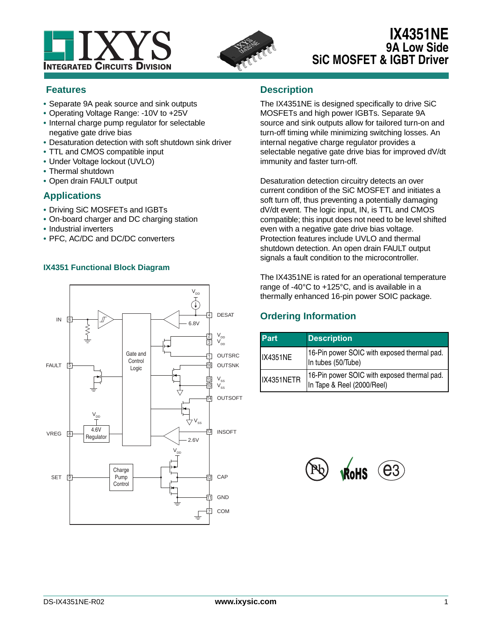



# **IX4351NE 9A Low Side SiC MOSFET & IGBT Driver**

## **Features**

- **•** Separate 9A peak source and sink outputs
- **•** Operating Voltage Range: -10V to +25V
- **•** Internal charge pump regulator for selectable negative gate drive bias
- **•** Desaturation detection with soft shutdown sink driver
- **•** TTL and CMOS compatible input
- **•** Under Voltage lockout (UVLO)
- **•** Thermal shutdown
- **•** Open drain FAULT output

## **Applications**

- **•** Driving SiC MOSFETs and IGBTs
- **•** On-board charger and DC charging station
- **•** Industrial inverters
- **•** PFC, AC/DC and DC/DC converters

## **IX4351 Functional Block Diagram**



## **Description**

The IX4351NE is designed specifically to drive SiC MOSFETs and high power IGBTs. Separate 9A source and sink outputs allow for tailored turn-on and turn-off timing while minimizing switching losses. An internal negative charge regulator provides a selectable negative gate drive bias for improved dV/dt immunity and faster turn-off.

Desaturation detection circuitry detects an over current condition of the SiC MOSFET and initiates a soft turn off, thus preventing a potentially damaging dV/dt event. The logic input, IN, is TTL and CMOS compatible; this input does not need to be level shifted even with a negative gate drive bias voltage. Protection features include UVLO and thermal shutdown detection. An open drain FAULT output signals a fault condition to the microcontroller.

The IX4351NE is rated for an operational temperature range of -40°C to +125°C, and is available in a thermally enhanced 16-pin power SOIC package.

## **Ordering Information**

| <b>Part</b>     | <b>Description</b>                                                        |
|-----------------|---------------------------------------------------------------------------|
| <b>IX4351NE</b> | 16-Pin power SOIC with exposed thermal pad.<br>In tubes (50/Tube)         |
| IX4351NETR      | 16-Pin power SOIC with exposed thermal pad.<br>In Tape & Reel (2000/Reel) |

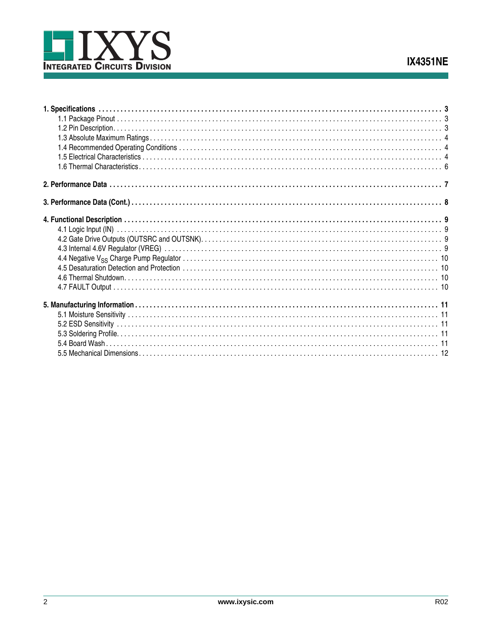

 $\overline{2}$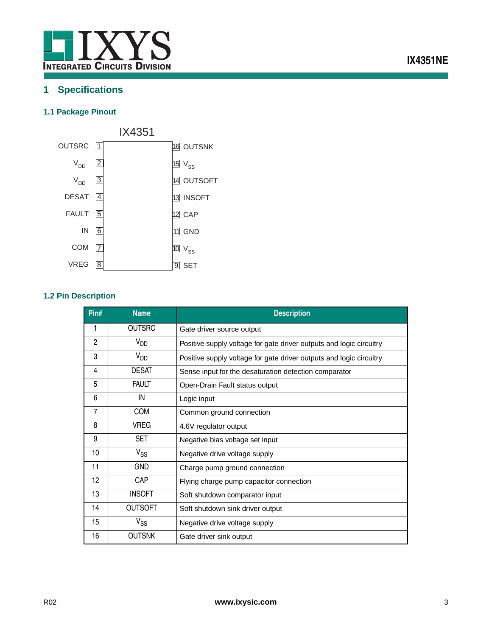

# <span id="page-2-0"></span>**1 Specifications**

## <span id="page-2-1"></span>**1.1 Package Pinout**



## <span id="page-2-2"></span>**1.2 Pin Description**

| Pin#         | <b>Name</b>     | <b>Description</b>                                                  |
|--------------|-----------------|---------------------------------------------------------------------|
|              | OUTSRC          | Gate driver source output                                           |
| $\mathbf{2}$ | V <sub>DD</sub> | Positive supply voltage for gate driver outputs and logic circuitry |
| 3            | V <sub>DD</sub> | Positive supply voltage for gate driver outputs and logic circuitry |
| 4            | <b>DESAT</b>    | Sense input for the desaturation detection comparator               |
| 5            | <b>FAULT</b>    | Open-Drain Fault status output                                      |
| 6            | IN              | Logic input                                                         |
| 7            | <b>COM</b>      | Common ground connection                                            |
| 8            | <b>VREG</b>     | 4.6V regulator output                                               |
| 9            | <b>SET</b>      | Negative bias voltage set input                                     |
| 10           | $V_{SS}$        | Negative drive voltage supply                                       |
| 11           | gnd             | Charge pump ground connection                                       |
| 12           | CAP             | Flying charge pump capacitor connection                             |
| 13           | <b>INSOFT</b>   | Soft shutdown comparator input                                      |
| 14           | <b>OUTSOFT</b>  | Soft shutdown sink driver output                                    |
| 15           | $V_{SS}$        | Negative drive voltage supply                                       |
| 16           | <b>OUTSNK</b>   | Gate driver sink output                                             |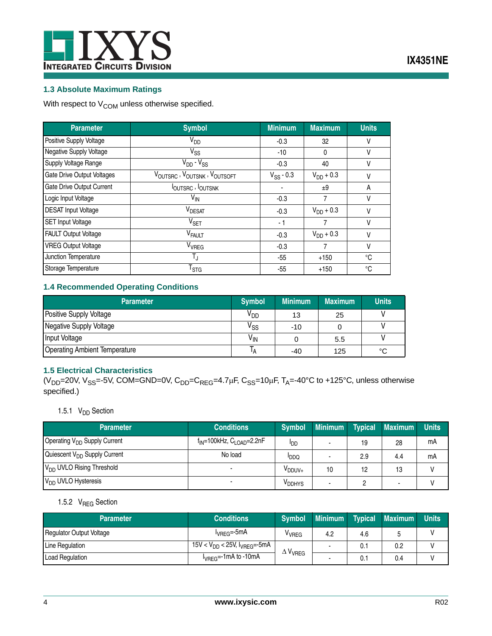

## **IX4351NE**

### <span id="page-3-0"></span>**1.3 Absolute Maximum Ratings**

With respect to  $V_{\text{COM}}$  unless otherwise specified.

| <b>Parameter</b>                  | <b>Symbol</b>                   | <b>Minimum</b> | <b>Maximum</b> | <b>Units</b> |
|-----------------------------------|---------------------------------|----------------|----------------|--------------|
| Positive Supply Voltage           | $V_{DD}$                        | $-0.3$         | 32             | ٧            |
| Negative Supply Voltage           | $V_{SS}$                        | -10            | 0              | ٧            |
| Supply Voltage Range              | $V_{DD} - V_{SS}$               | $-0.3$         | 40             | ٧            |
| <b>Gate Drive Output Voltages</b> | VOUTSRC, VOUTSNK, VOUTSOFT      | $V_{SS}$ - 0.3 | $V_{DD} + 0.3$ | ٧            |
| Gate Drive Output Current         | <b>IOUTSRC</b> , <b>IOUTSNK</b> |                | ±9             | A            |
| Logic Input Voltage               | $V_{\text{IN}}$                 | $-0.3$         |                | ٧            |
| <b>DESAT Input Voltage</b>        | <b>VDESAT</b>                   | $-0.3$         | $V_{DD} + 0.3$ | ٧            |
| <b>SET Input Voltage</b>          | $V_{\text{SET}}$                | - 1            |                | ٧            |
| <b>FAULT Output Voltage</b>       | V <sub>FAULT</sub>              | $-0.3$         | $V_{DD} + 0.3$ | ٧            |
| <b>VREG Output Voltage</b>        | V <sub>VREG</sub>               | $-0.3$         |                | ٧            |
| Junction Temperature              | $T_{\rm J}$                     | $-55$          | $+150$         | °C           |
| Storage Temperature               | $\mathsf{T}_{\text{STG}}$       | $-55$          | $+150$         | °C           |

### <span id="page-3-1"></span>**1.4 Recommended Operating Conditions**

| <b>Parameter</b>                     | <b>Symbol</b>   | <b>Minimum</b> | <b>Maximum</b> | <b>Units</b> |
|--------------------------------------|-----------------|----------------|----------------|--------------|
| Positive Supply Voltage              | V <sub>DD</sub> | 13             | 25             |              |
| Negative Supply Voltage              | V <sub>SS</sub> | -10            |                |              |
| Input Voltage                        | $V_{\text{IN}}$ |                | 5.5            |              |
| <b>Operating Ambient Temperature</b> |                 | $-40$          | 125            | °C           |

### <span id="page-3-2"></span>**1.5 Electrical Characteristics**

( $V_{DD}$ =20V,  $V_{SS}$ =-5V, COM=GND=0V,  $C_{DD}$ = $C_{REG}$ =4.7 $\mu$ F,  $C_{SS}$ =10 $\mu$ F, T<sub>A</sub>=-40°C to +125°C, unless otherwise specified.)

## 1.5.1  $V_{DD}$  Section

| <b>Parameter</b>                         | <b>Conditions</b>                   | <b>Symbol</b>      | <b>Minimum</b> | <b>Typical</b> | <b>Maximum</b>           | Units |
|------------------------------------------|-------------------------------------|--------------------|----------------|----------------|--------------------------|-------|
| Operating V <sub>DD</sub> Supply Current | $f_{IN}$ =100kHz, $C_{LOAD}$ =2.2nF | ססי                |                | 19             | 28                       | mΑ    |
| Quiescent V <sub>DD</sub> Supply Current | No load                             | <b>PDDQ</b>        |                | 2.9            | 4.4                      | mΑ    |
| V <sub>DD</sub> UVLO Rising Threshold    |                                     | V <sub>DDUV+</sub> | 10             | 12             | 13                       |       |
| V <sub>DD</sub> UVLO Hysteresis          |                                     | V <sub>DDHYS</sub> |                |                | $\overline{\phantom{a}}$ |       |

## 1.5.2 V<sub>REG</sub> Section

| <b>Parameter</b>                | <b>Conditions</b>                      | <b>Symbol</b>     | Minimum | <b>Typical</b> | <b>Maximum</b> | <b>Units</b> |
|---------------------------------|----------------------------------------|-------------------|---------|----------------|----------------|--------------|
| <b>Regulator Output Voltage</b> | $I_{VREG} = -5mA$                      | <sup>V</sup> VREG | 4.2     | 4.6            |                |              |
| Line Regulation                 | 15V < $V_{DD}$ < 25V, $I_{VREG}$ =-5mA | $\Delta V_{VREG}$ |         | 0.1            | 0.2            |              |
| <b>Load Regulation</b>          | l <sub>VREG</sub> =-1mA to -10mA       |                   |         | υ.             | 0.4            |              |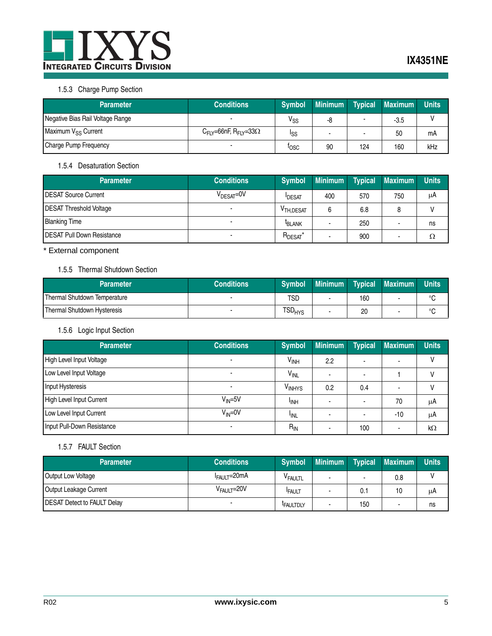

## 1.5.3 Charge Pump Section

| <b>Parameter</b>                 | <b>Conditions</b>                                       | <b>Symbol</b> | <b>Minimum</b> | <b>Typical</b> | <b>Maximum</b> | Units |
|----------------------------------|---------------------------------------------------------|---------------|----------------|----------------|----------------|-------|
| Negative Bias Rail Voltage Range |                                                         | $V_{SS}$      | -8             |                | $-3.5$         |       |
| Maximum V <sub>SS</sub> Current  | $C_{\mathsf{FIY}}$ =66nF, R <sub>FIY</sub> =33 $\Omega$ | ISS           |                |                | 50             | mΑ    |
| Charge Pump Frequency            |                                                         | <b>TOSC</b>   | 90             | 124            | 160            | kHz   |

### 1.5.4 Desaturation Section

| <b>Parameter</b>                   | <b>Conditions</b>      | <b>Symbol</b>          | <b>Minimum</b> | Typical | <b>Maximum</b> | Units |
|------------------------------------|------------------------|------------------------|----------------|---------|----------------|-------|
| <b>IDESAT Source Current</b>       | V <sub>DESAT</sub> =0V | <b>IDESAT</b>          | 400            | 570     | 750            | μA    |
| <b>DESAT Threshold Voltage</b>     |                        | V <sub>TH, DESAT</sub> |                | 6.8     | 8              |       |
| <b>Blanking Time</b>               |                        | <sup>I</sup> BLANK     |                | 250     |                | ns    |
| <b>IDESAT Pull Down Resistance</b> |                        | $R_{DESAT}^*$          |                | 900     |                |       |

\* External component

## 1.5.5 Thermal Shutdown Section

| Parameter                    | <b>Conditions</b> | <b>Symbol</b>                 | Minimum |     | <b>Typical Maximum</b> | Units  |
|------------------------------|-------------------|-------------------------------|---------|-----|------------------------|--------|
| Thermal Shutdown Temperature |                   | TSC                           |         | 160 |                        |        |
| Thermal Shutdown Hysteresis  |                   | $\mathsf{TSD}_{\mathsf{HYS}}$ |         | 20  |                        | $\sim$ |

## 1.5.6 Logic Input Section

| <b>Parameter</b>           | <b>Conditions</b> | <b>Symbol</b>          | <b>Minimum</b> | <b>Typical</b> | Maximum | <b>Units</b> |
|----------------------------|-------------------|------------------------|----------------|----------------|---------|--------------|
| High Level Input Voltage   |                   | <b>V<sub>INH</sub></b> | 2.2            |                |         |              |
| Low Level Input Voltage    |                   | VINL                   |                |                |         |              |
| Input Hysteresis           |                   | V <sub>INHYS</sub>     | 0.2            | 0.4            |         |              |
| High Level Input Current   | $V_{IN} = 5V$     | <sup>I</sup> INH       |                | ۰              | 70      | μA           |
| Low Level Input Current    | $V_{IN} = 0V$     | <sup>I</sup> INL       |                |                | $-10$   | μA           |
| Input Pull-Down Resistance |                   | $R_{IN}$               |                | 100            |         | kΩ           |

### 1.5.7 FAULT Section

| <b>Parameter</b>            | <b>Conditions</b>       | <b>Symbol</b>       | <b>Minimum</b> | Typical | <b>Maximum</b> | Units |
|-----------------------------|-------------------------|---------------------|----------------|---------|----------------|-------|
| Output Low Voltage          | $I_{FAULT} = 20mA$      | V <sub>FAULTL</sub> |                |         | 0.8            |       |
| Output Leakage Current      | V <sub>FAULT</sub> =20V | <b>FAULT</b>        |                | 0.1     | 10             | μA    |
| DESAT Detect to FAULT Delay |                         | <b>FAULTDLY</b>     |                | 150     |                | ns    |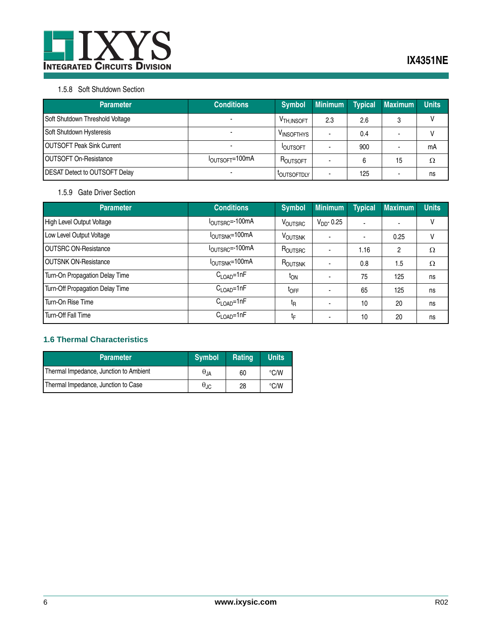

### 1.5.8 Soft Shutdown Section

| <b>Parameter</b>                     | <b>Conditions</b>           | <b>Symbol</b>           | <b>Minimum</b> | <b>Typical</b> | <b>Maximum</b> | <b>Units</b> |
|--------------------------------------|-----------------------------|-------------------------|----------------|----------------|----------------|--------------|
| Soft Shutdown Threshold Voltage      |                             | V <sub>TH, INSOFT</sub> | 2.3            | 2.6            | 3              |              |
| Soft Shutdown Hysteresis             |                             | VINSOFTHYS              | -              | 0.4            |                |              |
| <b>IOUTSOFT Peak Sink Current</b>    |                             | <b>IOUTSOFT</b>         |                | 900            |                | mA           |
| <b>OUTSOFT On-Resistance</b>         | I <sub>OUTSOFT</sub> =100mA | ROUTSOFT                |                | 6              | 15             | Ω            |
| <b>DESAT Detect to OUTSOFT Delay</b> |                             | <b>LOUTSOFTDLY</b>      |                | 125            |                | ns           |

### 1.5.9 Gate Driver Section

| <b>Parameter</b>                | <b>Conditions</b>                   | <b>Symbol</b>                     | <b>Minimum</b> | <b>Typical</b> | <b>Maximum</b>           | <b>Units</b> |
|---------------------------------|-------------------------------------|-----------------------------------|----------------|----------------|--------------------------|--------------|
| High Level Output Voltage       | $I_{\text{OUTSRC}} = 100 \text{mA}$ | VOUTSRC                           | $VDD$ - 0.25   | $\blacksquare$ | $\overline{\phantom{a}}$ | V            |
| Low Level Output Voltage        | I <sub>OUTSNK</sub> =100mA          | <b>VOUTSNK</b>                    |                | $\blacksquare$ | 0.25                     | v            |
| <b>OUTSRC ON-Resistance</b>     | $IOUTSRC=-100mA$                    | $R_{\text{OUTSRC}}$               |                | 1.16           | 2                        | Ω            |
| <b>OUTSNK ON-Resistance</b>     | I <sub>OUTSNK</sub> =100mA          | $R_{\scriptsize \textsf{OUTSNK}}$ |                | 0.8            | 1.5                      | Ω            |
| Turn-On Propagation Delay Time  | $C_{\text{LOAD}} = 1nF$             | <sup>I</sup> ON                   |                | 75             | 125                      | ns           |
| Turn-Off Propagation Delay Time | $C_{\text{LOAD}} = 1nF$             | <sup>t</sup> OFF                  |                | 65             | 125                      | ns           |
| Turn-On Rise Time               | $C_{\text{LOAD}} = 1nF$             | t <sub>R</sub>                    |                | 10             | 20                       | ns           |
| Turn-Off Fall Time              | $C_{\text{LOAD}} = 1nF$             | tϝ                                |                | 10             | 20                       | ns           |

### <span id="page-5-0"></span>**1.6 Thermal Characteristics**

| <b>Parameter</b>                       | <b>Symbol</b>          | Rating | <b>Units</b>  |
|----------------------------------------|------------------------|--------|---------------|
| Thermal Impedance, Junction to Ambient | $\theta$ <sub>JA</sub> | 60     | $\degree$ C/W |
| Thermal Impedance, Junction to Case    | $\theta_{\rm JC}$      | 28     | $\degree$ C/W |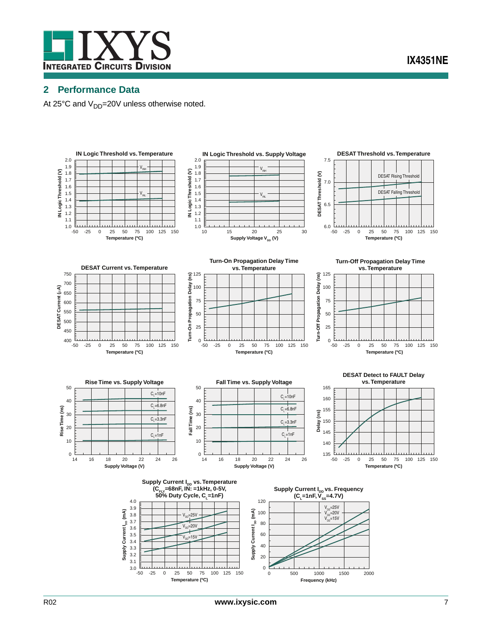

## <span id="page-6-0"></span>**2 Performance Data**

At 25 $\degree$ C and V<sub>DD</sub>=20V unless otherwise noted.

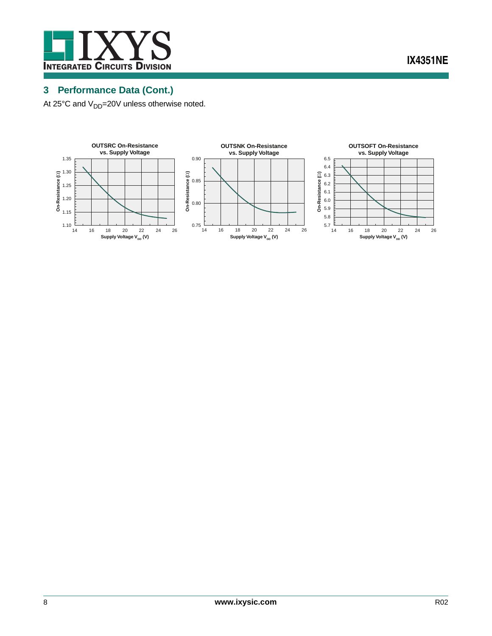

**IX4351NE**

# <span id="page-7-0"></span>**3 Performance Data (Cont.)**

At  $25^{\circ}$ C and  $V_{DD}$ =20V unless otherwise noted.

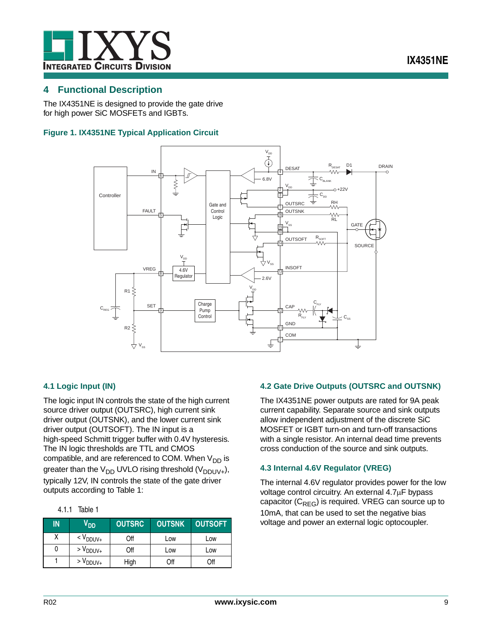

### <span id="page-8-0"></span>**4 Functional Description**

The IX4351NE is designed to provide the gate drive for high power SiC MOSFETs and IGBTs.

### **Figure 1. IX4351NE Typical Application Circuit**



### <span id="page-8-1"></span>**4.1 Logic Input (IN)**

The logic input IN controls the state of the high current source driver output (OUTSRC), high current sink driver output (OUTSNK), and the lower current sink driver output (OUTSOFT). The IN input is a high-speed Schmitt trigger buffer with 0.4V hysteresis. The IN logic thresholds are TTL and CMOS compatible, and are referenced to COM. When  $V_{DD}$  is greater than the V<sub>DD</sub> UVLO rising threshold (V<sub>DDUV+</sub>), typically 12V, IN controls the state of the gate driver outputs according to Table 1:

| 4.1.1 | Table 1 |
|-------|---------|
|       |         |

| IN | V <sub>DD</sub>     | <b>OUTSRC</b> | <b>OUTSNK</b> | <b>OUTSOFT</b> |
|----|---------------------|---------------|---------------|----------------|
|    | $<$ $V_{DDUV+}$     | Off           | Low           | Low            |
| 0  | $> V_{DDUV+}$       | Off           | Low           | Low            |
|    | $>$ $\rm V_{DDUV+}$ | High          | Off           | Off            |

### <span id="page-8-2"></span>**4.2 Gate Drive Outputs (OUTSRC and OUTSNK)**

The IX4351NE power outputs are rated for 9A peak current capability. Separate source and sink outputs allow independent adjustment of the discrete SiC MOSFET or IGBT turn-on and turn-off transactions with a single resistor. An internal dead time prevents cross conduction of the source and sink outputs.

### <span id="page-8-3"></span>**4.3 Internal 4.6V Regulator (VREG)**

The internal 4.6V regulator provides power for the low voltage control circuitry. An external  $4.7\mu$ F bypass capacitor  $(C_{RFG})$  is required. VREG can source up to 10mA, that can be used to set the negative bias voltage and power an external logic optocoupler.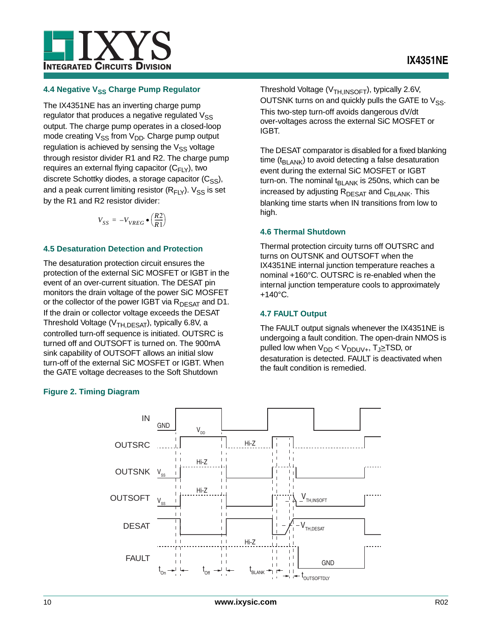## **IX4351NE**



### <span id="page-9-0"></span>**4.4 Negative VSS Charge Pump Regulator**

The IX4351NE has an inverting charge pump regulator that produces a negative regulated  $V_{SS}$ output. The charge pump operates in a closed-loop mode creating  $V_{SS}$  from  $V_{DD}$ . Charge pump output regulation is achieved by sensing the  $V_{SS}$  voltage through resistor divider R1 and R2. The charge pump requires an external flying capacitor  $(C_{FLY})$ , two discrete Schottky diodes, a storage capacitor  $(C_{SS})$ , and a peak current limiting resistor  $(R_{FLY})$ .  $V_{SS}$  is set by the R1 and R2 resistor divider:

$$
V_{SS} = -V_{VREG} \bullet \left(\frac{R2}{R1}\right)
$$

### <span id="page-9-1"></span>**4.5 Desaturation Detection and Protection**

The desaturation protection circuit ensures the protection of the external SiC MOSFET or IGBT in the event of an over-current situation. The DESAT pin monitors the drain voltage of the power SiC MOSFET or the collector of the power IGBT via  $R_{DESAT}$  and D1. If the drain or collector voltage exceeds the DESAT Threshold Voltage ( $V_{TH,DESAT}$ ), typically 6.8V, a controlled turn-off sequence is initiated. OUTSRC is turned off and OUTSOFT is turned on. The 900mA sink capability of OUTSOFT allows an initial slow turn-off of the external SiC MOSFET or IGBT. When the GATE voltage decreases to the Soft Shutdown

### **Figure 2. Timing Diagram**

Threshold Voltage (V<sub>TH,INSOFT</sub>), typically 2.6V, OUTSNK turns on and quickly pulls the GATE to  $V_{SS}$ . This two-step turn-off avoids dangerous dV/dt over-voltages across the external SiC MOSFET or IGBT.

The DESAT comparator is disabled for a fixed blanking time ( $t_{BLANK}$ ) to avoid detecting a false desaturation event during the external SiC MOSFET or IGBT turn-on. The nominal t<sub>BLANK</sub> is 250ns, which can be increased by adjusting  $R_{DESAT}$  and  $C_{BI, ANK}$ . This blanking time starts when IN transitions from low to high.

### <span id="page-9-2"></span>**4.6 Thermal Shutdown**

Thermal protection circuity turns off OUTSRC and turns on OUTSNK and OUTSOFT when the IX4351NE internal junction temperature reaches a nominal +160°C. OUTSRC is re-enabled when the internal junction temperature cools to approximately  $+140^{\circ}$ C.

### <span id="page-9-3"></span>**4.7 FAULT Output**

The FAULT output signals whenever the IX4351NE is undergoing a fault condition. The open-drain NMOS is pulled low when  $V_{DD}$  <  $V_{DDUV+}$ ,  $T_{J\geq}$ TSD, or desaturation is detected. FAULT is deactivated when the fault condition is remedied.

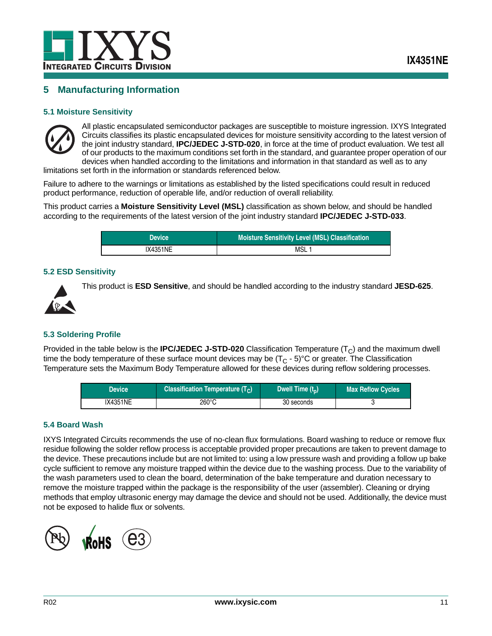

## <span id="page-10-0"></span>**5 Manufacturing Information**

### <span id="page-10-1"></span>**5.1 Moisture Sensitivity**



All plastic encapsulated semiconductor packages are susceptible to moisture ingression. IXYS Integrated Circuits classifies its plastic encapsulated devices for moisture sensitivity according to the latest version of the joint industry standard, **IPC/JEDEC J-STD-020**, in force at the time of product evaluation. We test all of our products to the maximum conditions set forth in the standard, and guarantee proper operation of our devices when handled according to the limitations and information in that standard as well as to any

limitations set forth in the information or standards referenced below.

Failure to adhere to the warnings or limitations as established by the listed specifications could result in reduced product performance, reduction of operable life, and/or reduction of overall reliability.

This product carries a **Moisture Sensitivity Level (MSL)** classification as shown below, and should be handled according to the requirements of the latest version of the joint industry standard **IPC/JEDEC J-STD-033**.

| <b>Device</b>   | Moisture Sensitivity Level (MSL) Classification |
|-----------------|-------------------------------------------------|
| <b>IX4351NE</b> | MSL                                             |

### <span id="page-10-2"></span>**5.2 ESD Sensitivity**



This product is **ESD Sensitive**, and should be handled according to the industry standard **JESD-625**.

### <span id="page-10-3"></span>**5.3 Soldering Profile**

Provided in the table below is the **IPC/JEDEC J-STD-020** Classification Temperature  $(T<sub>C</sub>)$  and the maximum dwell time the body temperature of these surface mount devices may be  $(T<sub>C</sub> - 5)$ °C or greater. The Classification Temperature sets the Maximum Body Temperature allowed for these devices during reflow soldering processes.

| Device   | Classification Temperature $(T_C)$ | Dwell Time $(t_n)$ | <b>Max Reflow Cycles</b> |
|----------|------------------------------------|--------------------|--------------------------|
| IX4351NE | 260°C                              | 30 seconds         |                          |

### <span id="page-10-4"></span>**5.4 Board Wash**

IXYS Integrated Circuits recommends the use of no-clean flux formulations. Board washing to reduce or remove flux residue following the solder reflow process is acceptable provided proper precautions are taken to prevent damage to the device. These precautions include but are not limited to: using a low pressure wash and providing a follow up bake cycle sufficient to remove any moisture trapped within the device due to the washing process. Due to the variability of the wash parameters used to clean the board, determination of the bake temperature and duration necessary to remove the moisture trapped within the package is the responsibility of the user (assembler). Cleaning or drying methods that employ ultrasonic energy may damage the device and should not be used. Additionally, the device must not be exposed to halide flux or solvents.